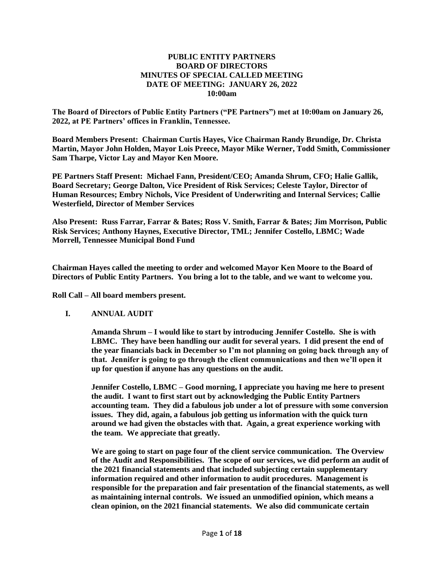## **PUBLIC ENTITY PARTNERS BOARD OF DIRECTORS MINUTES OF SPECIAL CALLED MEETING DATE OF MEETING: JANUARY 26, 2022 10:00am**

**The Board of Directors of Public Entity Partners ("PE Partners") met at 10:00am on January 26, 2022, at PE Partners' offices in Franklin, Tennessee.**

**Board Members Present: Chairman Curtis Hayes, Vice Chairman Randy Brundige, Dr. Christa Martin, Mayor John Holden, Mayor Lois Preece, Mayor Mike Werner, Todd Smith, Commissioner Sam Tharpe, Victor Lay and Mayor Ken Moore.**

**PE Partners Staff Present: Michael Fann, President/CEO; Amanda Shrum, CFO; Halie Gallik, Board Secretary; George Dalton, Vice President of Risk Services; Celeste Taylor, Director of Human Resources; Embry Nichols, Vice President of Underwriting and Internal Services; Callie Westerfield, Director of Member Services**

**Also Present: Russ Farrar, Farrar & Bates; Ross V. Smith, Farrar & Bates; Jim Morrison, Public Risk Services; Anthony Haynes, Executive Director, TML; Jennifer Costello, LBMC; Wade Morrell, Tennessee Municipal Bond Fund**

**Chairman Hayes called the meeting to order and welcomed Mayor Ken Moore to the Board of Directors of Public Entity Partners. You bring a lot to the table, and we want to welcome you.**

**Roll Call – All board members present.**

## **I. ANNUAL AUDIT**

**Amanda Shrum – I would like to start by introducing Jennifer Costello. She is with LBMC. They have been handling our audit for several years. I did present the end of the year financials back in December so I'm not planning on going back through any of that. Jennifer is going to go through the client communications and then we'll open it up for question if anyone has any questions on the audit.**

**Jennifer Costello, LBMC – Good morning, I appreciate you having me here to present the audit. I want to first start out by acknowledging the Public Entity Partners accounting team. They did a fabulous job under a lot of pressure with some conversion issues. They did, again, a fabulous job getting us information with the quick turn around we had given the obstacles with that. Again, a great experience working with the team. We appreciate that greatly.** 

**We are going to start on page four of the client service communication. The Overview of the Audit and Responsibilities. The scope of our services, we did perform an audit of the 2021 financial statements and that included subjecting certain supplementary information required and other information to audit procedures. Management is responsible for the preparation and fair presentation of the financial statements, as well as maintaining internal controls. We issued an unmodified opinion, which means a clean opinion, on the 2021 financial statements. We also did communicate certain**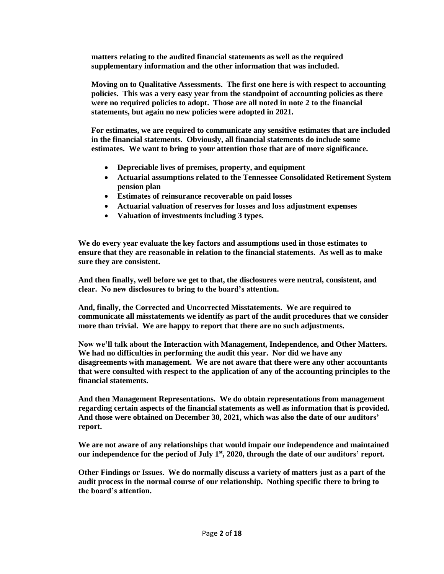**matters relating to the audited financial statements as well as the required supplementary information and the other information that was included.**

**Moving on to Qualitative Assessments. The first one here is with respect to accounting policies. This was a very easy year from the standpoint of accounting policies as there were no required policies to adopt. Those are all noted in note 2 to the financial statements, but again no new policies were adopted in 2021.** 

**For estimates, we are required to communicate any sensitive estimates that are included in the financial statements. Obviously, all financial statements do include some estimates. We want to bring to your attention those that are of more significance.** 

- **Depreciable lives of premises, property, and equipment**
- **Actuarial assumptions related to the Tennessee Consolidated Retirement System pension plan**
- **Estimates of reinsurance recoverable on paid losses**
- **Actuarial valuation of reserves for losses and loss adjustment expenses**
- **Valuation of investments including 3 types.**

**We do every year evaluate the key factors and assumptions used in those estimates to ensure that they are reasonable in relation to the financial statements. As well as to make sure they are consistent.** 

**And then finally, well before we get to that, the disclosures were neutral, consistent, and clear. No new disclosures to bring to the board's attention.** 

**And, finally, the Corrected and Uncorrected Misstatements. We are required to communicate all misstatements we identify as part of the audit procedures that we consider more than trivial. We are happy to report that there are no such adjustments.**

**Now we'll talk about the Interaction with Management, Independence, and Other Matters. We had no difficulties in performing the audit this year. Nor did we have any disagreements with management. We are not aware that there were any other accountants that were consulted with respect to the application of any of the accounting principles to the financial statements.**

**And then Management Representations. We do obtain representations from management regarding certain aspects of the financial statements as well as information that is provided. And those were obtained on December 30, 2021, which was also the date of our auditors' report.**

**We are not aware of any relationships that would impair our independence and maintained our independence for the period of July 1st, 2020, through the date of our auditors' report.** 

**Other Findings or Issues. We do normally discuss a variety of matters just as a part of the audit process in the normal course of our relationship. Nothing specific there to bring to the board's attention.**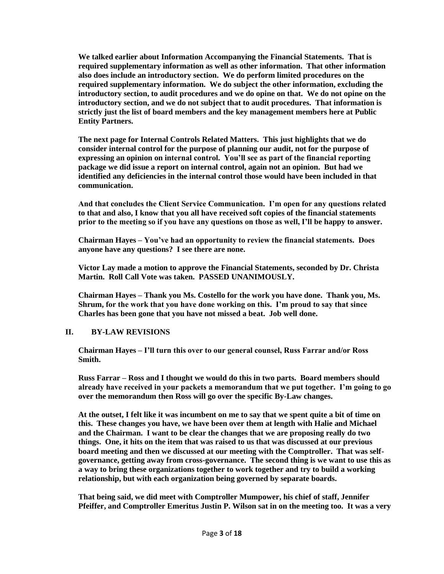**We talked earlier about Information Accompanying the Financial Statements. That is required supplementary information as well as other information. That other information also does include an introductory section. We do perform limited procedures on the required supplementary information. We do subject the other information, excluding the introductory section, to audit procedures and we do opine on that. We do not opine on the introductory section, and we do not subject that to audit procedures. That information is strictly just the list of board members and the key management members here at Public Entity Partners.** 

**The next page for Internal Controls Related Matters. This just highlights that we do consider internal control for the purpose of planning our audit, not for the purpose of expressing an opinion on internal control. You'll see as part of the financial reporting package we did issue a report on internal control, again not an opinion. But had we identified any deficiencies in the internal control those would have been included in that communication.** 

**And that concludes the Client Service Communication. I'm open for any questions related to that and also, I know that you all have received soft copies of the financial statements prior to the meeting so if you have any questions on those as well, I'll be happy to answer.** 

**Chairman Hayes – You've had an opportunity to review the financial statements. Does anyone have any questions? I see there are none.** 

**Victor Lay made a motion to approve the Financial Statements, seconded by Dr. Christa Martin. Roll Call Vote was taken. PASSED UNANIMOUSLY.**

**Chairman Hayes – Thank you Ms. Costello for the work you have done. Thank you, Ms. Shrum, for the work that you have done working on this. I'm proud to say that since Charles has been gone that you have not missed a beat. Job well done.** 

## **II. BY-LAW REVISIONS**

**Chairman Hayes – I'll turn this over to our general counsel, Russ Farrar and/or Ross Smith.**

**Russ Farrar – Ross and I thought we would do this in two parts. Board members should already have received in your packets a memorandum that we put together. I'm going to go over the memorandum then Ross will go over the specific By-Law changes.** 

**At the outset, I felt like it was incumbent on me to say that we spent quite a bit of time on this. These changes you have, we have been over them at length with Halie and Michael and the Chairman. I want to be clear the changes that we are proposing really do two things. One, it hits on the item that was raised to us that was discussed at our previous board meeting and then we discussed at our meeting with the Comptroller. That was selfgovernance, getting away from cross-governance. The second thing is we want to use this as a way to bring these organizations together to work together and try to build a working relationship, but with each organization being governed by separate boards.** 

**That being said, we did meet with Comptroller Mumpower, his chief of staff, Jennifer Pfeiffer, and Comptroller Emeritus Justin P. Wilson sat in on the meeting too. It was a very**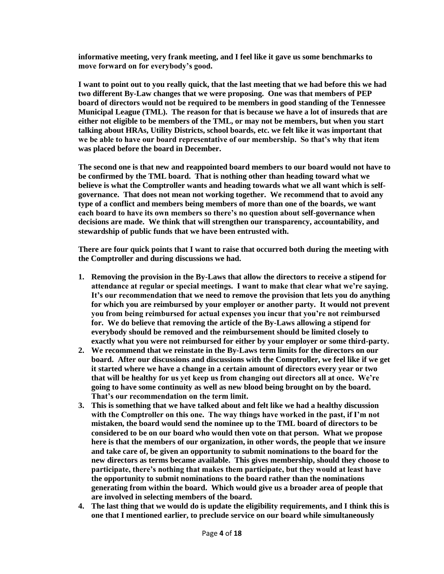**informative meeting, very frank meeting, and I feel like it gave us some benchmarks to move forward on for everybody's good.** 

**I want to point out to you really quick, that the last meeting that we had before this we had two different By-Law changes that we were proposing. One was that members of PEP board of directors would not be required to be members in good standing of the Tennessee Municipal League (TML). The reason for that is because we have a lot of insureds that are either not eligible to be members of the TML, or may not be members, but when you start talking about HRAs, Utility Districts, school boards, etc. we felt like it was important that we be able to have our board representative of our membership. So that's why that item was placed before the board in December.** 

**The second one is that new and reappointed board members to our board would not have to be confirmed by the TML board. That is nothing other than heading toward what we believe is what the Comptroller wants and heading towards what we all want which is selfgovernance. That does not mean not working together. We recommend that to avoid any type of a conflict and members being members of more than one of the boards, we want each board to have its own members so there's no question about self-governance when decisions are made. We think that will strengthen our transparency, accountability, and stewardship of public funds that we have been entrusted with.** 

**There are four quick points that I want to raise that occurred both during the meeting with the Comptroller and during discussions we had.**

- **1. Removing the provision in the By-Laws that allow the directors to receive a stipend for attendance at regular or special meetings. I want to make that clear what we're saying. It's our recommendation that we need to remove the provision that lets you do anything for which you are reimbursed by your employer or another party. It would not prevent you from being reimbursed for actual expenses you incur that you're not reimbursed for. We do believe that removing the article of the By-Laws allowing a stipend for everybody should be removed and the reimbursement should be limited closely to exactly what you were not reimbursed for either by your employer or some third-party.**
- **2. We recommend that we reinstate in the By-Laws term limits for the directors on our board. After our discussions and discussions with the Comptroller, we feel like if we get it started where we have a change in a certain amount of directors every year or two that will be healthy for us yet keep us from changing out directors all at once. We're going to have some continuity as well as new blood being brought on by the board. That's our recommendation on the term limit.**
- **3. This is something that we have talked about and felt like we had a healthy discussion with the Comptroller on this one. The way things have worked in the past, if I'm not mistaken, the board would send the nominee up to the TML board of directors to be considered to be on our board who would then vote on that person. What we propose here is that the members of our organization, in other words, the people that we insure and take care of, be given an opportunity to submit nominations to the board for the new directors as terms became available. This gives membership, should they choose to participate, there's nothing that makes them participate, but they would at least have the opportunity to submit nominations to the board rather than the nominations generating from within the board. Which would give us a broader area of people that are involved in selecting members of the board.**
- **4. The last thing that we would do is update the eligibility requirements, and I think this is one that I mentioned earlier, to preclude service on our board while simultaneously**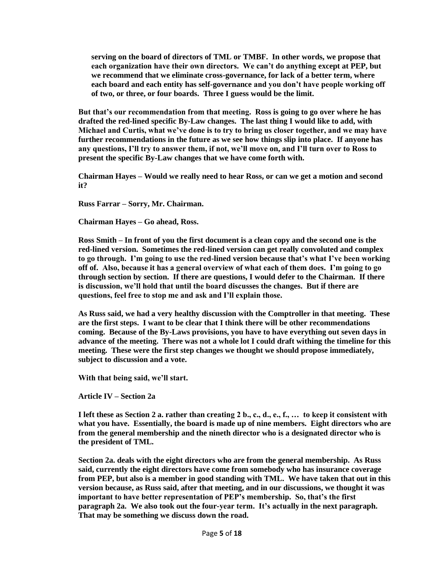**serving on the board of directors of TML or TMBF. In other words, we propose that each organization have their own directors. We can't do anything except at PEP, but we recommend that we eliminate cross-governance, for lack of a better term, where each board and each entity has self-governance and you don't have people working off of two, or three, or four boards. Three I guess would be the limit.** 

**But that's our recommendation from that meeting. Ross is going to go over where he has drafted the red-lined specific By-Law changes. The last thing I would like to add, with Michael and Curtis, what we've done is to try to bring us closer together, and we may have further recommendations in the future as we see how things slip into place. If anyone has any questions, I'll try to answer them, if not, we'll move on, and I'll turn over to Ross to present the specific By-Law changes that we have come forth with.** 

**Chairman Hayes – Would we really need to hear Ross, or can we get a motion and second it?**

**Russ Farrar – Sorry, Mr. Chairman.** 

**Chairman Hayes – Go ahead, Ross.**

**Ross Smith – In front of you the first document is a clean copy and the second one is the red-lined version. Sometimes the red-lined version can get really convoluted and complex to go through. I'm going to use the red-lined version because that's what I've been working off of. Also, because it has a general overview of what each of them does. I'm going to go through section by section. If there are questions, I would defer to the Chairman. If there is discussion, we'll hold that until the board discusses the changes. But if there are questions, feel free to stop me and ask and I'll explain those.** 

**As Russ said, we had a very healthy discussion with the Comptroller in that meeting. These are the first steps. I want to be clear that I think there will be other recommendations coming. Because of the By-Laws provisions, you have to have everything out seven days in advance of the meeting. There was not a whole lot I could draft withing the timeline for this meeting. These were the first step changes we thought we should propose immediately, subject to discussion and a vote.** 

**With that being said, we'll start.**

**Article IV – Section 2a**

**I left these as Section 2 a. rather than creating 2 b., c., d., e., f., … to keep it consistent with what you have. Essentially, the board is made up of nine members. Eight directors who are from the general membership and the nineth director who is a designated director who is the president of TML.** 

**Section 2a. deals with the eight directors who are from the general membership. As Russ said, currently the eight directors have come from somebody who has insurance coverage from PEP, but also is a member in good standing with TML. We have taken that out in this version because, as Russ said, after that meeting, and in our discussions, we thought it was important to have better representation of PEP's membership. So, that's the first paragraph 2a. We also took out the four-year term. It's actually in the next paragraph. That may be something we discuss down the road.**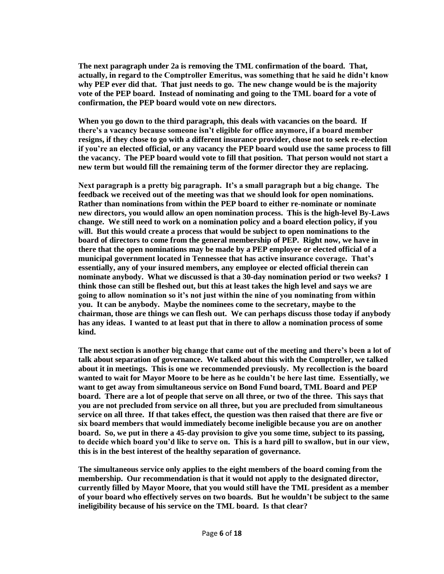**The next paragraph under 2a is removing the TML confirmation of the board. That, actually, in regard to the Comptroller Emeritus, was something that he said he didn't know why PEP ever did that. That just needs to go. The new change would be is the majority vote of the PEP board. Instead of nominating and going to the TML board for a vote of confirmation, the PEP board would vote on new directors.** 

**When you go down to the third paragraph, this deals with vacancies on the board. If there's a vacancy because someone isn't eligible for office anymore, if a board member resigns, if they chose to go with a different insurance provider, chose not to seek re-election if you're an elected official, or any vacancy the PEP board would use the same process to fill the vacancy. The PEP board would vote to fill that position. That person would not start a new term but would fill the remaining term of the former director they are replacing.** 

**Next paragraph is a pretty big paragraph. It's a small paragraph but a big change. The feedback we received out of the meeting was that we should look for open nominations. Rather than nominations from within the PEP board to either re-nominate or nominate new directors, you would allow an open nomination process. This is the high-level By-Laws change. We still need to work on a nomination policy and a board election policy, if you will. But this would create a process that would be subject to open nominations to the board of directors to come from the general membership of PEP. Right now, we have in there that the open nominations may be made by a PEP employee or elected official of a municipal government located in Tennessee that has active insurance coverage. That's essentially, any of your insured members, any employee or elected official therein can nominate anybody. What we discussed is that a 30-day nomination period or two weeks? I think those can still be fleshed out, but this at least takes the high level and says we are going to allow nomination so it's not just within the nine of you nominating from within you. It can be anybody. Maybe the nominees come to the secretary, maybe to the chairman, those are things we can flesh out. We can perhaps discuss those today if anybody has any ideas. I wanted to at least put that in there to allow a nomination process of some kind.**

**The next section is another big change that came out of the meeting and there's been a lot of talk about separation of governance. We talked about this with the Comptroller, we talked about it in meetings. This is one we recommended previously. My recollection is the board wanted to wait for Mayor Moore to be here as he couldn't be here last time. Essentially, we want to get away from simultaneous service on Bond Fund board, TML Board and PEP board. There are a lot of people that serve on all three, or two of the three. This says that you are not precluded from service on all three, but you are precluded from simultaneous service on all three. If that takes effect, the question was then raised that there are five or six board members that would immediately become ineligible because you are on another board. So, we put in there a 45-day provision to give you some time, subject to its passing, to decide which board you'd like to serve on. This is a hard pill to swallow, but in our view, this is in the best interest of the healthy separation of governance.** 

**The simultaneous service only applies to the eight members of the board coming from the membership. Our recommendation is that it would not apply to the designated director, currently filled by Mayor Moore, that you would still have the TML president as a member of your board who effectively serves on two boards. But he wouldn't be subject to the same ineligibility because of his service on the TML board. Is that clear?**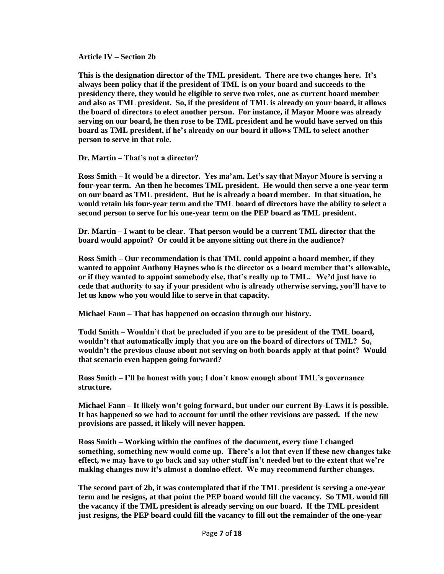**Article IV – Section 2b**

**This is the designation director of the TML president. There are two changes here. It's always been policy that if the president of TML is on your board and succeeds to the presidency there, they would be eligible to serve two roles, one as current board member and also as TML president. So, if the president of TML is already on your board, it allows the board of directors to elect another person. For instance, if Mayor Moore was already serving on our board, he then rose to be TML president and he would have served on this board as TML president, if he's already on our board it allows TML to select another person to serve in that role.**

**Dr. Martin – That's not a director?**

**Ross Smith – It would be a director. Yes ma'am. Let's say that Mayor Moore is serving a four-year term. An then he becomes TML president. He would then serve a one-year term on our board as TML president. But he is already a board member. In that situation, he would retain his four-year term and the TML board of directors have the ability to select a second person to serve for his one-year term on the PEP board as TML president.**

**Dr. Martin – I want to be clear. That person would be a current TML director that the board would appoint? Or could it be anyone sitting out there in the audience?** 

**Ross Smith – Our recommendation is that TML could appoint a board member, if they wanted to appoint Anthony Haynes who is the director as a board member that's allowable, or if they wanted to appoint somebody else, that's really up to TML. We'd just have to cede that authority to say if your president who is already otherwise serving, you'll have to let us know who you would like to serve in that capacity.** 

**Michael Fann – That has happened on occasion through our history.**

**Todd Smith – Wouldn't that be precluded if you are to be president of the TML board, wouldn't that automatically imply that you are on the board of directors of TML? So, wouldn't the previous clause about not serving on both boards apply at that point? Would that scenario even happen going forward?** 

**Ross Smith – I'll be honest with you; I don't know enough about TML's governance structure.** 

**Michael Fann – It likely won't going forward, but under our current By-Laws it is possible. It has happened so we had to account for until the other revisions are passed. If the new provisions are passed, it likely will never happen.** 

**Ross Smith – Working within the confines of the document, every time I changed something, something new would come up. There's a lot that even if these new changes take effect, we may have to go back and say other stuff isn't needed but to the extent that we're making changes now it's almost a domino effect. We may recommend further changes.** 

**The second part of 2b, it was contemplated that if the TML president is serving a one-year term and he resigns, at that point the PEP board would fill the vacancy. So TML would fill the vacancy if the TML president is already serving on our board. If the TML president just resigns, the PEP board could fill the vacancy to fill out the remainder of the one-year**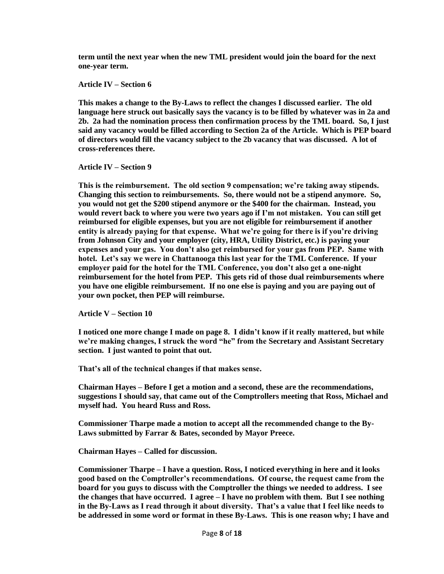**term until the next year when the new TML president would join the board for the next one-year term.** 

**Article IV – Section 6**

**This makes a change to the By-Laws to reflect the changes I discussed earlier. The old language here struck out basically says the vacancy is to be filled by whatever was in 2a and 2b. 2a had the nomination process then confirmation process by the TML board. So, I just said any vacancy would be filled according to Section 2a of the Article. Which is PEP board of directors would fill the vacancy subject to the 2b vacancy that was discussed. A lot of cross-references there.** 

**Article IV – Section 9**

**This is the reimbursement. The old section 9 compensation; we're taking away stipends. Changing this section to reimbursements. So, there would not be a stipend anymore. So, you would not get the \$200 stipend anymore or the \$400 for the chairman. Instead, you would revert back to where you were two years ago if I'm not mistaken. You can still get reimbursed for eligible expenses, but you are not eligible for reimbursement if another entity is already paying for that expense. What we're going for there is if you're driving from Johnson City and your employer (city, HRA, Utility District, etc.) is paying your expenses and your gas. You don't also get reimbursed for your gas from PEP. Same with hotel. Let's say we were in Chattanooga this last year for the TML Conference. If your employer paid for the hotel for the TML Conference, you don't also get a one-night reimbursement for the hotel from PEP. This gets rid of those dual reimbursements where you have one eligible reimbursement. If no one else is paying and you are paying out of your own pocket, then PEP will reimburse.**

**Article V – Section 10**

**I noticed one more change I made on page 8. I didn't know if it really mattered, but while we're making changes, I struck the word "he" from the Secretary and Assistant Secretary section. I just wanted to point that out.**

**That's all of the technical changes if that makes sense.** 

**Chairman Hayes – Before I get a motion and a second, these are the recommendations, suggestions I should say, that came out of the Comptrollers meeting that Ross, Michael and myself had. You heard Russ and Ross.**

**Commissioner Tharpe made a motion to accept all the recommended change to the By-Laws submitted by Farrar & Bates, seconded by Mayor Preece.** 

**Chairman Hayes – Called for discussion.**

**Commissioner Tharpe – I have a question. Ross, I noticed everything in here and it looks good based on the Comptroller's recommendations. Of course, the request came from the board for you guys to discuss with the Comptroller the things we needed to address. I see the changes that have occurred. I agree – I have no problem with them. But I see nothing in the By-Laws as I read through it about diversity. That's a value that I feel like needs to be addressed in some word or format in these By-Laws. This is one reason why; I have and**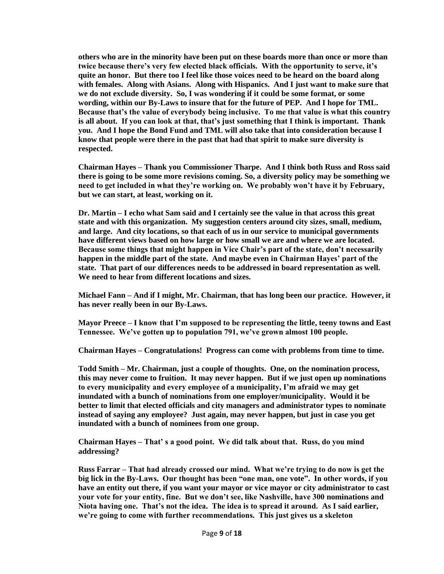**others who are in the minority have been put on these boards more than once or more than twice because there's very few elected black officials. With the opportunity to serve, it's quite an honor. But there too I feel like those voices need to be heard on the board along with females. Along with Asians. Along with Hispanics. And I just want to make sure that we do not exclude diversity. So, I was wondering if it could be some format, or some wording, within our By-Laws to insure that for the future of PEP. And I hope for TML. Because that's the value of everybody being inclusive. To me that value is what this country is all about. If you can look at that, that's just something that I think is important. Thank you. And I hope the Bond Fund and TML will also take that into consideration because I know that people were there in the past that had that spirit to make sure diversity is respected.** 

**Chairman Hayes – Thank you Commissioner Tharpe. And I think both Russ and Ross said there is going to be some more revisions coming. So, a diversity policy may be something we need to get included in what they're working on. We probably won't have it by February, but we can start, at least, working on it.** 

**Dr. Martin – I echo what Sam said and I certainly see the value in that across this great state and with this organization. My suggestion centers around city sizes, small, medium, and large. And city locations, so that each of us in our service to municipal governments have different views based on how large or how small we are and where we are located. Because some things that might happen in Vice Chair's part of the state, don't necessarily happen in the middle part of the state. And maybe even in Chairman Hayes' part of the state. That part of our differences needs to be addressed in board representation as well. We need to hear from different locations and sizes.** 

**Michael Fann – And if I might, Mr. Chairman, that has long been our practice. However, it has never really been in our By-Laws.** 

**Mayor Preece – I know that I'm supposed to be representing the little, teeny towns and East Tennessee. We've gotten up to population 791, we've grown almost 100 people.**

**Chairman Hayes – Congratulations! Progress can come with problems from time to time.** 

**Todd Smith – Mr. Chairman, just a couple of thoughts. One, on the nomination process, this may never come to fruition. It may never happen. But if we just open up nominations to every municipality and every employee of a municipality, I'm afraid we may get inundated with a bunch of nominations from one employer/municipality. Would it be better to limit that elected officials and city managers and administrator types to nominate instead of saying any employee? Just again, may never happen, but just in case you get inundated with a bunch of nominees from one group.** 

**Chairman Hayes – That' s a good point. We did talk about that. Russ, do you mind addressing?**

**Russ Farrar – That had already crossed our mind. What we're trying to do now is get the big lick in the By-Laws. Our thought has been "one man, one vote". In other words, if you have an entity out there, if you want your mayor or vice mayor or city administrator to cast your vote for your entity, fine. But we don't see, like Nashville, have 300 nominations and Niota having one. That's not the idea. The idea is to spread it around. As I said earlier, we're going to come with further recommendations. This just gives us a skeleton**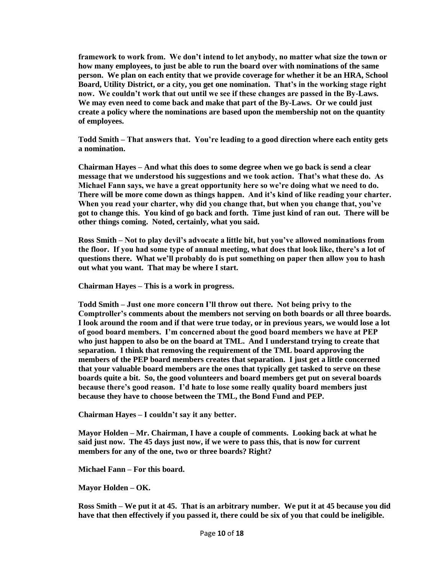**framework to work from. We don't intend to let anybody, no matter what size the town or how many employees, to just be able to run the board over with nominations of the same person. We plan on each entity that we provide coverage for whether it be an HRA, School Board, Utility District, or a city, you get one nomination. That's in the working stage right now. We couldn't work that out until we see if these changes are passed in the By-Laws. We may even need to come back and make that part of the By-Laws. Or we could just create a policy where the nominations are based upon the membership not on the quantity of employees.**

**Todd Smith – That answers that. You're leading to a good direction where each entity gets a nomination.** 

**Chairman Hayes – And what this does to some degree when we go back is send a clear message that we understood his suggestions and we took action. That's what these do. As Michael Fann says, we have a great opportunity here so we're doing what we need to do. There will be more come down as things happen. And it's kind of like reading your charter. When you read your charter, why did you change that, but when you change that, you've got to change this. You kind of go back and forth. Time just kind of ran out. There will be other things coming. Noted, certainly, what you said.**

**Ross Smith – Not to play devil's advocate a little bit, but you've allowed nominations from the floor. If you had some type of annual meeting, what does that look like, there's a lot of questions there. What we'll probably do is put something on paper then allow you to hash out what you want. That may be where I start.** 

**Chairman Hayes – This is a work in progress.** 

**Todd Smith – Just one more concern I'll throw out there. Not being privy to the Comptroller's comments about the members not serving on both boards or all three boards. I look around the room and if that were true today, or in previous years, we would lose a lot of good board members. I'm concerned about the good board members we have at PEP who just happen to also be on the board at TML. And I understand trying to create that separation. I think that removing the requirement of the TML board approving the members of the PEP board members creates that separation. I just get a little concerned that your valuable board members are the ones that typically get tasked to serve on these boards quite a bit. So, the good volunteers and board members get put on several boards because there's good reason. I'd hate to lose some really quality board members just because they have to choose between the TML, the Bond Fund and PEP.** 

**Chairman Hayes – I couldn't say it any better.**

**Mayor Holden – Mr. Chairman, I have a couple of comments. Looking back at what he said just now. The 45 days just now, if we were to pass this, that is now for current members for any of the one, two or three boards? Right?**

**Michael Fann – For this board.**

**Mayor Holden – OK.** 

**Ross Smith – We put it at 45. That is an arbitrary number. We put it at 45 because you did have that then effectively if you passed it, there could be six of you that could be ineligible.**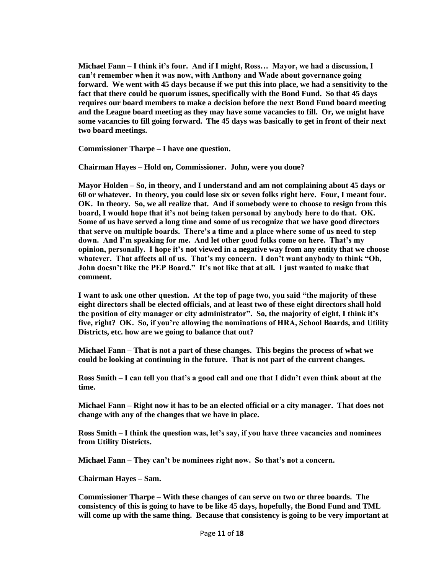**Michael Fann – I think it's four. And if I might, Ross… Mayor, we had a discussion, I can't remember when it was now, with Anthony and Wade about governance going forward. We went with 45 days because if we put this into place, we had a sensitivity to the fact that there could be quorum issues, specifically with the Bond Fund. So that 45 days requires our board members to make a decision before the next Bond Fund board meeting and the League board meeting as they may have some vacancies to fill. Or, we might have some vacancies to fill going forward. The 45 days was basically to get in front of their next two board meetings.**

**Commissioner Tharpe – I have one question.** 

**Chairman Hayes – Hold on, Commissioner. John, were you done?**

**Mayor Holden – So, in theory, and I understand and am not complaining about 45 days or 60 or whatever. In theory, you could lose six or seven folks right here. Four, I meant four. OK. In theory. So, we all realize that. And if somebody were to choose to resign from this board, I would hope that it's not being taken personal by anybody here to do that. OK. Some of us have served a long time and some of us recognize that we have good directors that serve on multiple boards. There's a time and a place where some of us need to step down. And I'm speaking for me. And let other good folks come on here. That's my opinion, personally. I hope it's not viewed in a negative way from any entity that we choose whatever. That affects all of us. That's my concern. I don't want anybody to think "Oh, John doesn't like the PEP Board." It's not like that at all. I just wanted to make that comment.** 

**I want to ask one other question. At the top of page two, you said "the majority of these eight directors shall be elected officials, and at least two of these eight directors shall hold the position of city manager or city administrator". So, the majority of eight, I think it's five, right? OK. So, if you're allowing the nominations of HRA, School Boards, and Utility Districts, etc. how are we going to balance that out?**

**Michael Fann – That is not a part of these changes. This begins the process of what we could be looking at continuing in the future. That is not part of the current changes.** 

**Ross Smith – I can tell you that's a good call and one that I didn't even think about at the time.** 

**Michael Fann – Right now it has to be an elected official or a city manager. That does not change with any of the changes that we have in place.** 

**Ross Smith – I think the question was, let's say, if you have three vacancies and nominees from Utility Districts.** 

**Michael Fann – They can't be nominees right now. So that's not a concern.**

**Chairman Hayes – Sam.**

**Commissioner Tharpe – With these changes of can serve on two or three boards. The consistency of this is going to have to be like 45 days, hopefully, the Bond Fund and TML will come up with the same thing. Because that consistency is going to be very important at**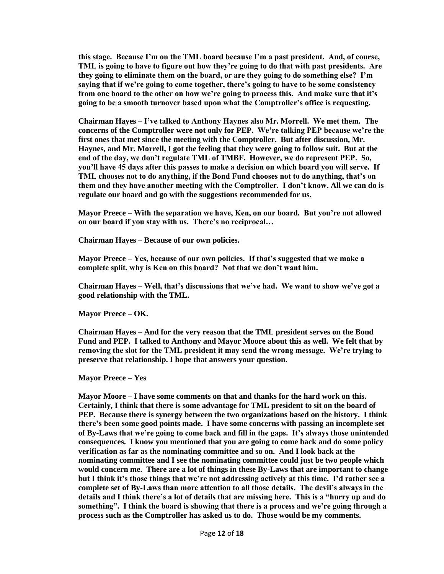**this stage. Because I'm on the TML board because I'm a past president. And, of course, TML is going to have to figure out how they're going to do that with past presidents. Are they going to eliminate them on the board, or are they going to do something else? I'm saying that if we're going to come together, there's going to have to be some consistency from one board to the other on how we're going to process this. And make sure that it's going to be a smooth turnover based upon what the Comptroller's office is requesting.** 

**Chairman Hayes – I've talked to Anthony Haynes also Mr. Morrell. We met them. The concerns of the Comptroller were not only for PEP. We're talking PEP because we're the first ones that met since the meeting with the Comptroller. But after discussion, Mr. Haynes, and Mr. Morrell, I got the feeling that they were going to follow suit. But at the end of the day, we don't regulate TML of TMBF. However, we do represent PEP. So, you'll have 45 days after this passes to make a decision on which board you will serve. If TML chooses not to do anything, if the Bond Fund chooses not to do anything, that's on them and they have another meeting with the Comptroller. I don't know. All we can do is regulate our board and go with the suggestions recommended for us.** 

**Mayor Preece – With the separation we have, Ken, on our board. But you're not allowed on our board if you stay with us. There's no reciprocal…**

**Chairman Hayes – Because of our own policies.**

**Mayor Preece – Yes, because of our own policies. If that's suggested that we make a complete split, why is Ken on this board? Not that we don't want him.**

**Chairman Hayes – Well, that's discussions that we've had. We want to show we've got a good relationship with the TML.** 

**Mayor Preece – OK.**

**Chairman Hayes – And for the very reason that the TML president serves on the Bond Fund and PEP. I talked to Anthony and Mayor Moore about this as well. We felt that by removing the slot for the TML president it may send the wrong message. We're trying to preserve that relationship. I hope that answers your question.**

**Mayor Preece – Yes**

**Mayor Moore – I have some comments on that and thanks for the hard work on this. Certainly, I think that there is some advantage for TML president to sit on the board of PEP. Because there is synergy between the two organizations based on the history. I think there's been some good points made. I have some concerns with passing an incomplete set of By-Laws that we're going to come back and fill in the gaps. It's always those unintended consequences. I know you mentioned that you are going to come back and do some policy verification as far as the nominating committee and so on. And I look back at the nominating committee and I see the nominating committee could just be two people which would concern me. There are a lot of things in these By-Laws that are important to change but I think it's those things that we're not addressing actively at this time. I'd rather see a complete set of By-Laws than more attention to all those details. The devil's always in the details and I think there's a lot of details that are missing here. This is a "hurry up and do something". I think the board is showing that there is a process and we're going through a process such as the Comptroller has asked us to do. Those would be my comments.**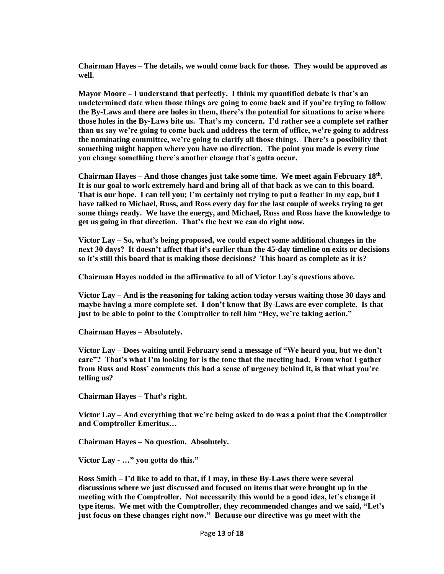**Chairman Hayes – The details, we would come back for those. They would be approved as well.** 

**Mayor Moore – I understand that perfectly. I think my quantified debate is that's an undetermined date when those things are going to come back and if you're trying to follow the By-Laws and there are holes in them, there's the potential for situations to arise where those holes in the By-Laws bite us. That's my concern. I'd rather see a complete set rather than us say we're going to come back and address the term of office, we're going to address the nominating committee, we're going to clarify all those things. There's a possibility that something might happen where you have no direction. The point you made is every time you change something there's another change that's gotta occur.** 

**Chairman Hayes – And those changes just take some time. We meet again February 18th . It is our goal to work extremely hard and bring all of that back as we can to this board. That is our hope. I can tell you; I'm certainly not trying to put a feather in my cap, but I have talked to Michael, Russ, and Ross every day for the last couple of weeks trying to get some things ready. We have the energy, and Michael, Russ and Ross have the knowledge to get us going in that direction. That's the best we can do right now.** 

**Victor Lay – So, what's being proposed, we could expect some additional changes in the next 30 days? It doesn't affect that it's earlier than the 45-day timeline on exits or decisions so it's still this board that is making those decisions? This board as complete as it is?** 

**Chairman Hayes nodded in the affirmative to all of Victor Lay's questions above.**

**Victor Lay – And is the reasoning for taking action today versus waiting those 30 days and maybe having a more complete set. I don't know that By-Laws are ever complete. Is that just to be able to point to the Comptroller to tell him "Hey, we're taking action."**

**Chairman Hayes – Absolutely.**

**Victor Lay – Does waiting until February send a message of "We heard you, but we don't care"? That's what I'm looking for is the tone that the meeting had. From what I gather from Russ and Ross' comments this had a sense of urgency behind it, is that what you're telling us?**

**Chairman Hayes – That's right.** 

**Victor Lay – And everything that we're being asked to do was a point that the Comptroller and Comptroller Emeritus…**

**Chairman Hayes – No question. Absolutely.** 

**Victor Lay - …" you gotta do this."** 

**Ross Smith – I'd like to add to that, if I may, in these By-Laws there were several discussions where we just discussed and focused on items that were brought up in the meeting with the Comptroller. Not necessarily this would be a good idea, let's change it type items. We met with the Comptroller, they recommended changes and we said, "Let's just focus on these changes right now." Because our directive was go meet with the**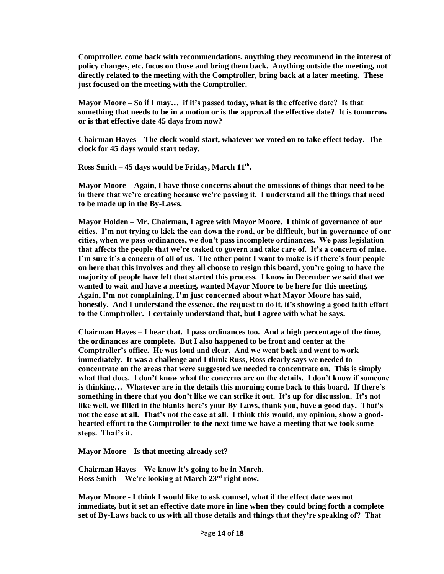**Comptroller, come back with recommendations, anything they recommend in the interest of policy changes, etc. focus on those and bring them back. Anything outside the meeting, not directly related to the meeting with the Comptroller, bring back at a later meeting. These just focused on the meeting with the Comptroller.** 

**Mayor Moore – So if I may… if it's passed today, what is the effective date? Is that something that needs to be in a motion or is the approval the effective date? It is tomorrow or is that effective date 45 days from now?**

**Chairman Hayes – The clock would start, whatever we voted on to take effect today. The clock for 45 days would start today.** 

**Ross Smith – 45 days would be Friday, March 11th .**

**Mayor Moore – Again, I have those concerns about the omissions of things that need to be in there that we're creating because we're passing it. I understand all the things that need to be made up in the By-Laws.**

**Mayor Holden – Mr. Chairman, I agree with Mayor Moore. I think of governance of our cities. I'm not trying to kick the can down the road, or be difficult, but in governance of our cities, when we pass ordinances, we don't pass incomplete ordinances. We pass legislation that affects the people that we're tasked to govern and take care of. It's a concern of mine. I'm sure it's a concern of all of us. The other point I want to make is if there's four people on here that this involves and they all choose to resign this board, you're going to have the majority of people have left that started this process. I know in December we said that we wanted to wait and have a meeting, wanted Mayor Moore to be here for this meeting. Again, I'm not complaining, I'm just concerned about what Mayor Moore has said, honestly. And I understand the essence, the request to do it, it's showing a good faith effort to the Comptroller. I certainly understand that, but I agree with what he says.** 

**Chairman Hayes – I hear that. I pass ordinances too. And a high percentage of the time, the ordinances are complete. But I also happened to be front and center at the Comptroller's office. He was loud and clear. And we went back and went to work immediately. It was a challenge and I think Russ, Ross clearly says we needed to concentrate on the areas that were suggested we needed to concentrate on. This is simply what that does. I don't know what the concerns are on the details. I don't know if someone is thinking… Whatever are in the details this morning come back to this board. If there's something in there that you don't like we can strike it out. It's up for discussion. It's not like well, we filled in the blanks here's your By-Laws, thank you, have a good day. That's not the case at all. That's not the case at all. I think this would, my opinion, show a goodhearted effort to the Comptroller to the next time we have a meeting that we took some steps. That's it.** 

**Mayor Moore – Is that meeting already set?**

**Chairman Hayes – We know it's going to be in March. Ross Smith – We're looking at March 23rd right now.**

**Mayor Moore - I think I would like to ask counsel, what if the effect date was not immediate, but it set an effective date more in line when they could bring forth a complete set of By-Laws back to us with all those details and things that they're speaking of? That**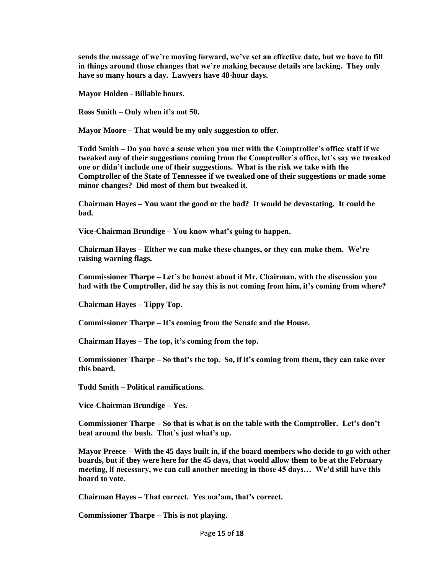**sends the message of we're moving forward, we've set an effective date, but we have to fill in things around those changes that we're making because details are lacking. They only have so many hours a day. Lawyers have 48-hour days.** 

**Mayor Holden - Billable hours.**

**Ross Smith – Only when it's not 50.**

**Mayor Moore – That would be my only suggestion to offer.**

**Todd Smith – Do you have a sense when you met with the Comptroller's office staff if we tweaked any of their suggestions coming from the Comptroller's office, let's say we tweaked one or didn't include one of their suggestions. What is the risk we take with the Comptroller of the State of Tennessee if we tweaked one of their suggestions or made some minor changes? Did most of them but tweaked it.**

**Chairman Hayes – You want the good or the bad? It would be devastating. It could be bad.**

**Vice-Chairman Brundige – You know what's going to happen.**

**Chairman Hayes – Either we can make these changes, or they can make them. We're raising warning flags.**

**Commissioner Tharpe – Let's be honest about it Mr. Chairman, with the discussion you had with the Comptroller, did he say this is not coming from him, it's coming from where?**

**Chairman Hayes – Tippy Top.**

**Commissioner Tharpe – It's coming from the Senate and the House.**

**Chairman Hayes – The top, it's coming from the top.**

**Commissioner Tharpe – So that's the top. So, if it's coming from them, they can take over this board.** 

**Todd Smith – Political ramifications.**

**Vice-Chairman Brundige – Yes.**

**Commissioner Tharpe – So that is what is on the table with the Comptroller. Let's don't beat around the bush. That's just what's up.** 

**Mayor Preece – With the 45 days built in, if the board members who decide to go with other boards, but if they were here for the 45 days, that would allow them to be at the February meeting, if necessary, we can call another meeting in those 45 days… We'd still have this board to vote.**

**Chairman Hayes – That correct. Yes ma'am, that's correct.**

**Commissioner Tharpe – This is not playing.**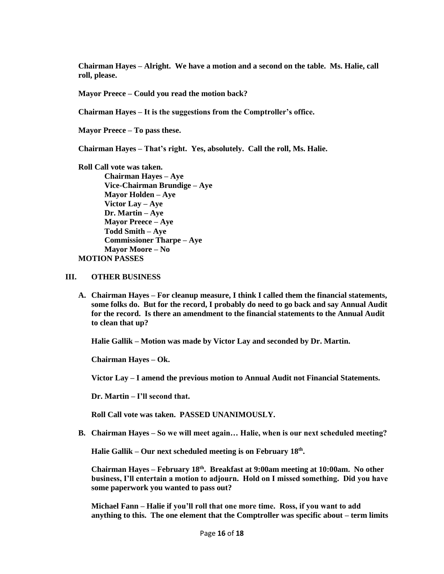**Chairman Hayes – Alright. We have a motion and a second on the table. Ms. Halie, call roll, please.**

**Mayor Preece – Could you read the motion back?**

**Chairman Hayes – It is the suggestions from the Comptroller's office.** 

**Mayor Preece – To pass these.**

**Chairman Hayes – That's right. Yes, absolutely. Call the roll, Ms. Halie.**

**Roll Call vote was taken. Chairman Hayes – Aye Vice-Chairman Brundige – Aye Mayor Holden – Aye Victor Lay – Aye Dr. Martin – Aye Mayor Preece – Aye Todd Smith – Aye Commissioner Tharpe – Aye Mayor Moore – No MOTION PASSES**

## **III. OTHER BUSINESS**

**A. Chairman Hayes – For cleanup measure, I think I called them the financial statements, some folks do. But for the record, I probably do need to go back and say Annual Audit for the record. Is there an amendment to the financial statements to the Annual Audit to clean that up?** 

**Halie Gallik – Motion was made by Victor Lay and seconded by Dr. Martin.**

**Chairman Hayes – Ok.** 

**Victor Lay – I amend the previous motion to Annual Audit not Financial Statements.**

**Dr. Martin – I'll second that.**

**Roll Call vote was taken. PASSED UNANIMOUSLY.**

**B. Chairman Hayes – So we will meet again… Halie, when is our next scheduled meeting?**

**Halie Gallik – Our next scheduled meeting is on February 18th .** 

**Chairman Hayes – February 18th. Breakfast at 9:00am meeting at 10:00am. No other business, I'll entertain a motion to adjourn. Hold on I missed something. Did you have some paperwork you wanted to pass out?**

**Michael Fann – Halie if you'll roll that one more time. Ross, if you want to add anything to this. The one element that the Comptroller was specific about – term limits**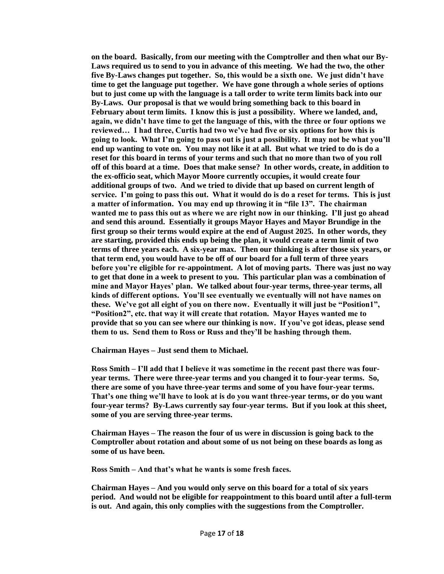**on the board. Basically, from our meeting with the Comptroller and then what our By-Laws required us to send to you in advance of this meeting. We had the two, the other five By-Laws changes put together. So, this would be a sixth one. We just didn't have time to get the language put together. We have gone through a whole series of options but to just come up with the language is a tall order to write term limits back into our By-Laws. Our proposal is that we would bring something back to this board in February about term limits. I know this is just a possibility. Where we landed, and, again, we didn't have time to get the language of this, with the three or four options we reviewed… I had three, Curtis had two we've had five or six options for how this is going to look. What I'm going to pass out is just a possibility. It may not be what you'll end up wanting to vote on. You may not like it at all. But what we tried to do is do a reset for this board in terms of your terms and such that no more than two of you roll off of this board at a time. Does that make sense? In other words, create, in addition to the ex-officio seat, which Mayor Moore currently occupies, it would create four additional groups of two. And we tried to divide that up based on current length of service. I'm going to pass this out. What it would do is do a reset for terms. This is just a matter of information. You may end up throwing it in "file 13". The chairman wanted me to pass this out as where we are right now in our thinking. I'll just go ahead and send this around. Essentially it groups Mayor Hayes and Mayor Brundige in the first group so their terms would expire at the end of August 2025. In other words, they are starting, provided this ends up being the plan, it would create a term limit of two terms of three years each. A six-year max. Then our thinking is after those six years, or that term end, you would have to be off of our board for a full term of three years before you're eligible for re-appointment. A lot of moving parts. There was just no way to get that done in a week to present to you. This particular plan was a combination of mine and Mayor Hayes' plan. We talked about four-year terms, three-year terms, all kinds of different options. You'll see eventually we eventually will not have names on these. We've got all eight of you on there now. Eventually it will just be "Position1", "Position2", etc. that way it will create that rotation. Mayor Hayes wanted me to provide that so you can see where our thinking is now. If you've got ideas, please send them to us. Send them to Ross or Russ and they'll be hashing through them.** 

**Chairman Hayes – Just send them to Michael.** 

**Ross Smith – I'll add that I believe it was sometime in the recent past there was fouryear terms. There were three-year terms and you changed it to four-year terms. So, there are some of you have three-year terms and some of you have four-year terms. That's one thing we'll have to look at is do you want three-year terms, or do you want four-year terms? By-Laws currently say four-year terms. But if you look at this sheet, some of you are serving three-year terms.** 

**Chairman Hayes – The reason the four of us were in discussion is going back to the Comptroller about rotation and about some of us not being on these boards as long as some of us have been.** 

**Ross Smith – And that's what he wants is some fresh faces.**

**Chairman Hayes – And you would only serve on this board for a total of six years period. And would not be eligible for reappointment to this board until after a full-term is out. And again, this only complies with the suggestions from the Comptroller.**